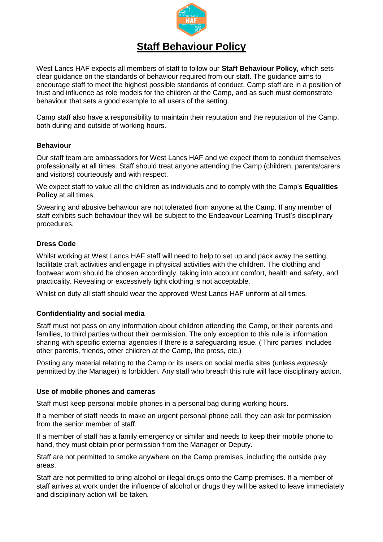

# **Staff Behaviour Policy**

West Lancs HAF expects all members of staff to follow our **Staff Behaviour Policy,** which sets clear guidance on the standards of behaviour required from our staff. The guidance aims to encourage staff to meet the highest possible standards of conduct. Camp staff are in a position of trust and influence as role models for the children at the Camp, and as such must demonstrate behaviour that sets a good example to all users of the setting.

Camp staff also have a responsibility to maintain their reputation and the reputation of the Camp, both during and outside of working hours.

# **Behaviour**

Our staff team are ambassadors for West Lancs HAF and we expect them to conduct themselves professionally at all times. Staff should treat anyone attending the Camp (children, parents/carers and visitors) courteously and with respect.

We expect staff to value all the children as individuals and to comply with the Camp's **Equalities Policy** at all times.

Swearing and abusive behaviour are not tolerated from anyone at the Camp. If any member of staff exhibits such behaviour they will be subject to the Endeavour Learning Trust's disciplinary procedures.

# **Dress Code**

Whilst working at West Lancs HAF staff will need to help to set up and pack away the setting, facilitate craft activities and engage in physical activities with the children. The clothing and footwear worn should be chosen accordingly, taking into account comfort, health and safety, and practicality. Revealing or excessively tight clothing is not acceptable.

Whilst on duty all staff should wear the approved West Lancs HAF uniform at all times.

### **Confidentiality and social media**

Staff must not pass on any information about children attending the Camp, or their parents and families, to third parties without their permission. The only exception to this rule is information sharing with specific external agencies if there is a safeguarding issue. ('Third parties' includes other parents, friends, other children at the Camp, the press, etc.)

Posting any material relating to the Camp or its users on social media sites (unless *expressly* permitted by the Manager) is forbidden. Any staff who breach this rule will face disciplinary action.

### **Use of mobile phones and cameras**

Staff must keep personal mobile phones in a personal bag during working hours.

If a member of staff needs to make an urgent personal phone call, they can ask for permission from the senior member of staff.

If a member of staff has a family emergency or similar and needs to keep their mobile phone to hand, they must obtain prior permission from the Manager or Deputy.

Staff are not permitted to smoke anywhere on the Camp premises, including the outside play areas.

Staff are not permitted to bring alcohol or illegal drugs onto the Camp premises. If a member of staff arrives at work under the influence of alcohol or drugs they will be asked to leave immediately and disciplinary action will be taken.